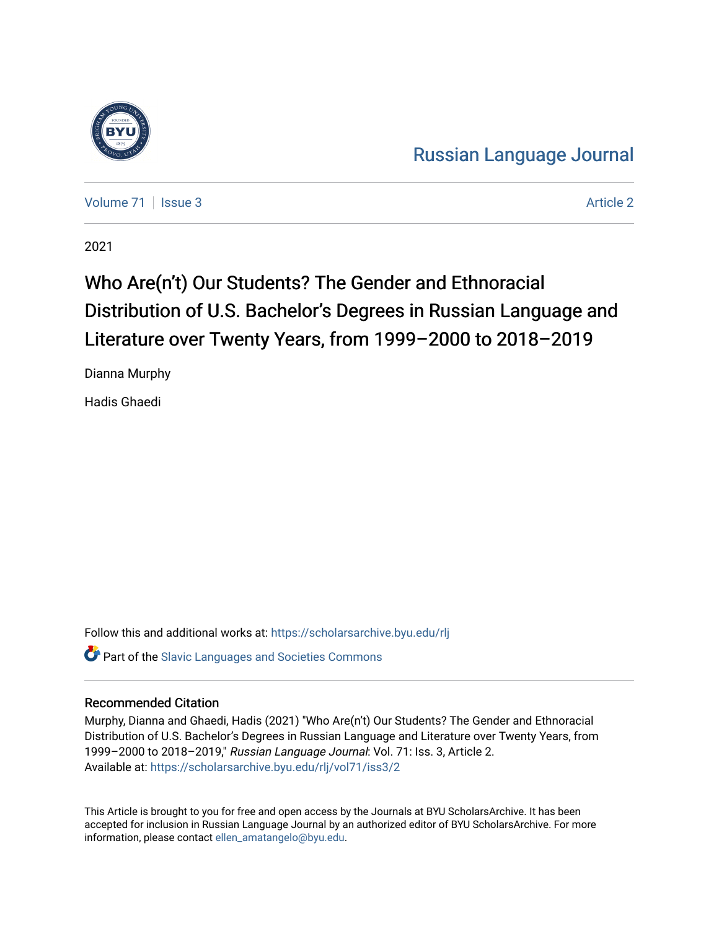

[Russian Language Journal](https://scholarsarchive.byu.edu/rlj) 

[Volume 71](https://scholarsarchive.byu.edu/rlj/vol71) | [Issue 3](https://scholarsarchive.byu.edu/rlj/vol71/iss3) Article 2

2021

# Who Are(n't) Our Students? The Gender and Ethnoracial Distribution of U.S. Bachelor's Degrees in Russian Language and Literature over Twenty Years, from 1999-2000 to 2018-2019

Dianna Murphy

Hadis Ghaedi

Follow this and additional works at: [https://scholarsarchive.byu.edu/rlj](https://scholarsarchive.byu.edu/rlj?utm_source=scholarsarchive.byu.edu%2Frlj%2Fvol71%2Fiss3%2F2&utm_medium=PDF&utm_campaign=PDFCoverPages) **Part of the Slavic Languages and Societies Commons** 

## Recommended Citation

Murphy, Dianna and Ghaedi, Hadis (2021) "Who Are(n't) Our Students? The Gender and Ethnoracial Distribution of U.S. Bachelor's Degrees in Russian Language and Literature over Twenty Years, from 1999–2000 to 2018–2019," Russian Language Journal: Vol. 71: Iss. 3, Article 2. Available at: [https://scholarsarchive.byu.edu/rlj/vol71/iss3/2](https://scholarsarchive.byu.edu/rlj/vol71/iss3/2?utm_source=scholarsarchive.byu.edu%2Frlj%2Fvol71%2Fiss3%2F2&utm_medium=PDF&utm_campaign=PDFCoverPages) 

This Article is brought to you for free and open access by the Journals at BYU ScholarsArchive. It has been accepted for inclusion in Russian Language Journal by an authorized editor of BYU ScholarsArchive. For more information, please contact [ellen\\_amatangelo@byu.edu.](mailto:ellen_amatangelo@byu.edu)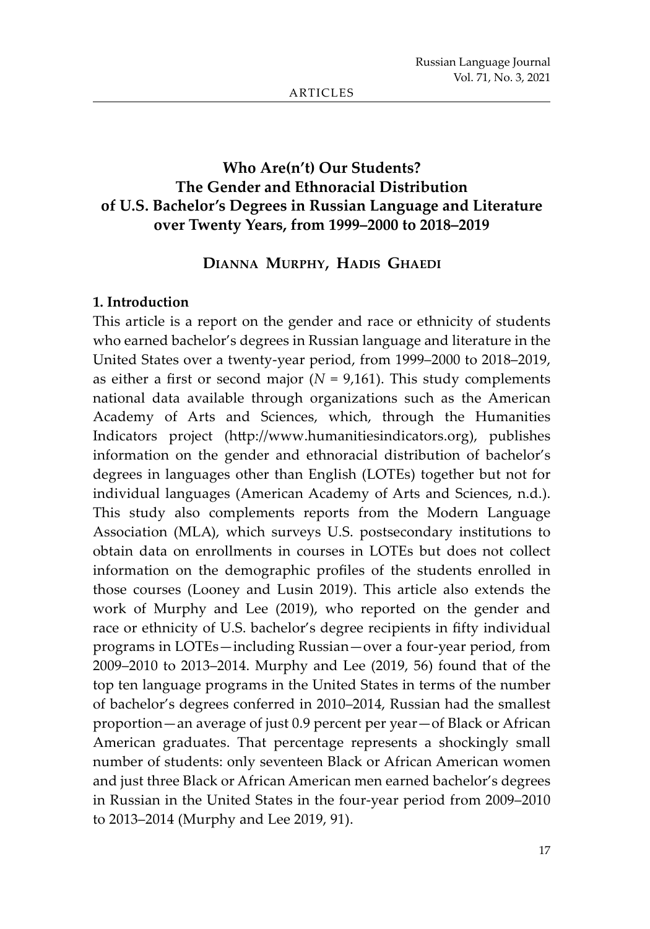# **Who Are(n't) Our Students? The Gender and Ethnoracial Distribution of U.S. Bachelor's Degrees in Russian Language and Literature over Twenty Years, from 1999–2000 to 2018–2019**

### **Dianna Murphy, Hadis Ghaedi**

#### **1. Introduction**

This article is a report on the gender and race or ethnicity of students who earned bachelor's degrees in Russian language and literature in the United States over a twenty-year period, from 1999–2000 to 2018–2019, as either a first or second major  $(N = 9,161)$ . This study complements national data available through organizations such as the American Academy of Arts and Sciences, which, through the Humanities Indicators project (http://www.humanitiesindicators.org), publishes information on the gender and ethnoracial distribution of bachelor's degrees in languages other than English (LOTEs) together but not for individual languages (American Academy of Arts and Sciences, n.d.). This study also complements reports from the Modern Language Association (MLA), which surveys U.S. postsecondary institutions to obtain data on enrollments in courses in LOTEs but does not collect information on the demographic profiles of the students enrolled in those courses (Looney and Lusin 2019). This article also extends the work of Murphy and Lee (2019), who reported on the gender and race or ethnicity of U.S. bachelor's degree recipients in fifty individual programs in LOTEs—including Russian—over a four-year period, from 2009–2010 to 2013–2014. Murphy and Lee (2019, 56) found that of the top ten language programs in the United States in terms of the number of bachelor's degrees conferred in 2010–2014, Russian had the smallest proportion—an average of just 0.9 percent per year—of Black or African American graduates. That percentage represents a shockingly small number of students: only seventeen Black or African American women and just three Black or African American men earned bachelor's degrees in Russian in the United States in the four-year period from 2009–2010 to 2013–2014 (Murphy and Lee 2019, 91).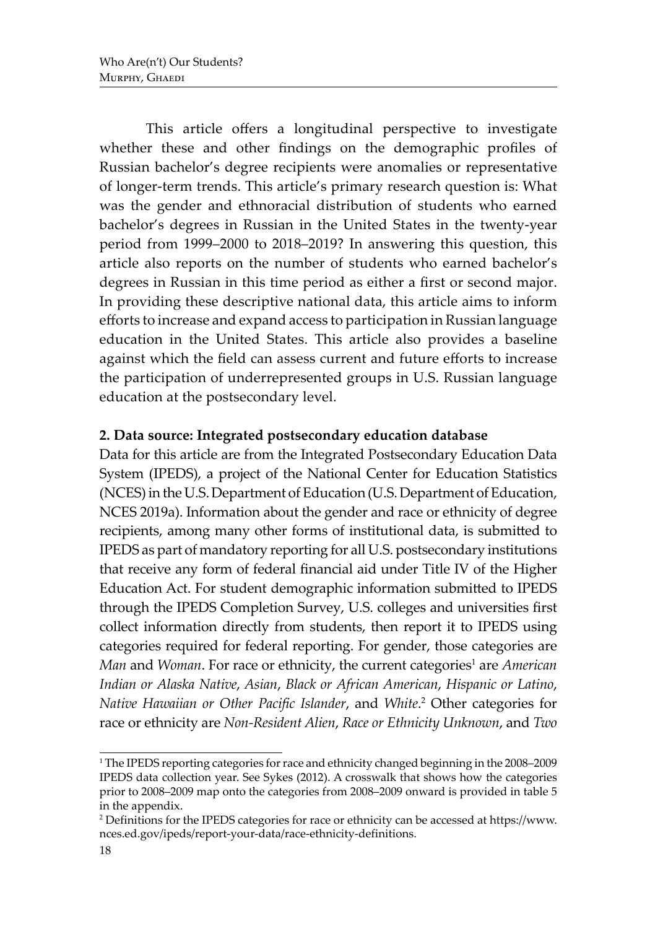This article offers a longitudinal perspective to investigate whether these and other findings on the demographic profiles of Russian bachelor's degree recipients were anomalies or representative of longer-term trends. This article's primary research question is: What was the gender and ethnoracial distribution of students who earned bachelor's degrees in Russian in the United States in the twenty-year period from 1999–2000 to 2018–2019? In answering this question, this article also reports on the number of students who earned bachelor's degrees in Russian in this time period as either a first or second major. In providing these descriptive national data, this article aims to inform efforts to increase and expand access to participation in Russian language education in the United States. This article also provides a baseline against which the field can assess current and future efforts to increase the participation of underrepresented groups in U.S. Russian language education at the postsecondary level.

## **2. Data source: Integrated postsecondary education database**

Data for this article are from the Integrated Postsecondary Education Data System (IPEDS), a project of the National Center for Education Statistics (NCES) in the U.S. Department of Education (U.S. Department of Education, NCES 2019a). Information about the gender and race or ethnicity of degree recipients, among many other forms of institutional data, is submitted to IPEDS as part of mandatory reporting for all U.S. postsecondary institutions that receive any form of federal financial aid under Title IV of the Higher Education Act. For student demographic information submitted to IPEDS through the IPEDS Completion Survey, U.S. colleges and universities first collect information directly from students, then report it to IPEDS using categories required for federal reporting. For gender, those categories are *Man* and *Woman*. For race or ethnicity, the current categories<sup>1</sup> are *American Indian or Alaska Native*, *Asian*, *Black or African American*, *Hispanic or Latino*, *Native Hawaiian or Other Pacific Islander*, and *White*. 2 Other categories for race or ethnicity are *Non-Resident Alien*, *Race or Ethnicity Unknown*, and *Two* 

<sup>1</sup> The IPEDS reporting categories for race and ethnicity changed beginning in the 2008–2009 IPEDS data collection year. See Sykes (2012). A crosswalk that shows how the categories prior to 2008–2009 map onto the categories from 2008–2009 onward is provided in table 5 in the appendix.

 $^2$  Definitions for the IPEDS categories for race or ethnicity can be accessed at https://www. nces.ed.gov/ipeds/report-your-data/race-ethnicity-definitions.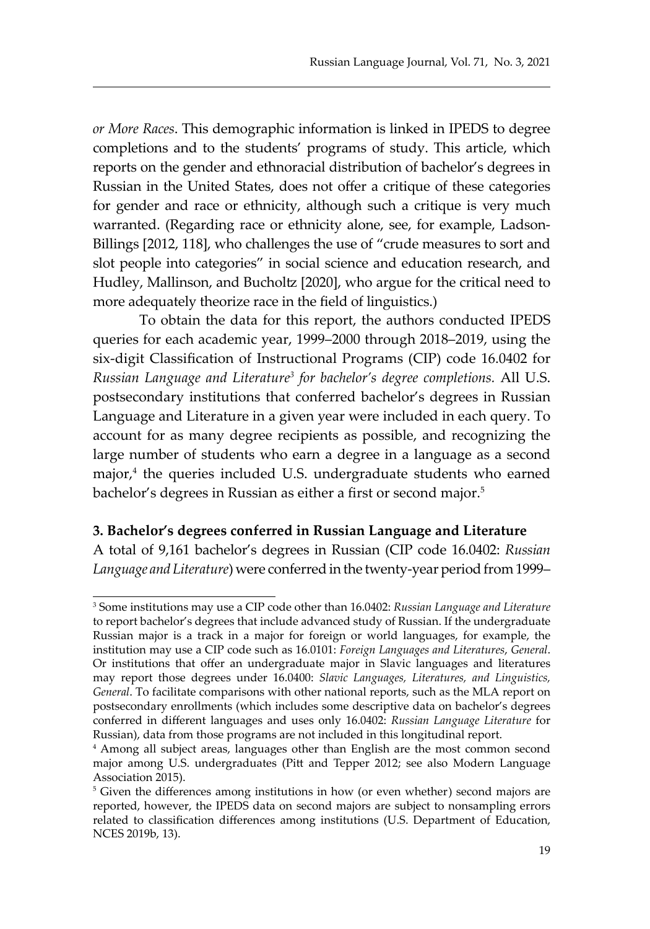*or More Races*. This demographic information is linked in IPEDS to degree completions and to the students' programs of study. This article, which reports on the gender and ethnoracial distribution of bachelor's degrees in Russian in the United States, does not offer a critique of these categories for gender and race or ethnicity, although such a critique is very much warranted. (Regarding race or ethnicity alone, see, for example, Ladson-Billings [2012, 118], who challenges the use of "crude measures to sort and slot people into categories" in social science and education research, and Hudley, Mallinson, and Bucholtz [2020], who argue for the critical need to more adequately theorize race in the field of linguistics.)

To obtain the data for this report, the authors conducted IPEDS queries for each academic year, 1999–2000 through 2018–2019, using the six-digit Classification of Instructional Programs (CIP) code 16.0402 for *Russian Language and Literature3 for bachelor's degree completions.* All U.S. postsecondary institutions that conferred bachelor's degrees in Russian Language and Literature in a given year were included in each query. To account for as many degree recipients as possible, and recognizing the large number of students who earn a degree in a language as a second major,<sup>4</sup> the queries included U.S. undergraduate students who earned bachelor's degrees in Russian as either a first or second major.<sup>5</sup>

#### **3. Bachelor's degrees conferred in Russian Language and Literature**

A total of 9,161 bachelor's degrees in Russian (CIP code 16.0402: *Russian Language and Literature*) were conferred in the twenty-year period from 1999–

<sup>3</sup> Some institutions may use a CIP code other than 16.0402: *Russian Language and Literature* to report bachelor's degrees that include advanced study of Russian. If the undergraduate Russian major is a track in a major for foreign or world languages, for example, the institution may use a CIP code such as 16.0101: *Foreign Languages and Literatures*, *General*. Or institutions that offer an undergraduate major in Slavic languages and literatures may report those degrees under 16.0400: *Slavic Languages, Literatures, and Linguistics, General*. To facilitate comparisons with other national reports, such as the MLA report on postsecondary enrollments (which includes some descriptive data on bachelor's degrees conferred in different languages and uses only 16.0402: *Russian Language Literature* for Russian), data from those programs are not included in this longitudinal report.

<sup>4</sup> Among all subject areas, languages other than English are the most common second major among U.S. undergraduates (Pitt and Tepper 2012; see also Modern Language Association 2015).

<sup>&</sup>lt;sup>5</sup> Given the differences among institutions in how (or even whether) second majors are reported, however, the IPEDS data on second majors are subject to nonsampling errors related to classification differences among institutions (U.S. Department of Education, NCES 2019b, 13).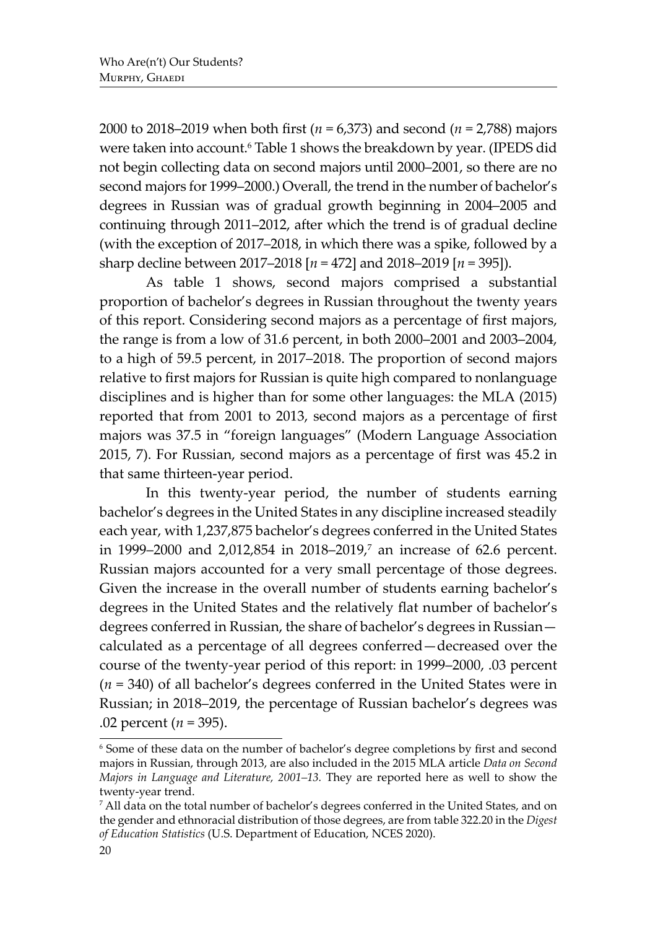2000 to 2018–2019 when both first (*n* = 6,373) and second (*n* = 2,788) majors were taken into account.<sup>6</sup> Table 1 shows the breakdown by year. (IPEDS did not begin collecting data on second majors until 2000–2001, so there are no second majors for 1999–2000.) Overall, the trend in the number of bachelor's degrees in Russian was of gradual growth beginning in 2004–2005 and continuing through 2011–2012, after which the trend is of gradual decline (with the exception of 2017–2018, in which there was a spike, followed by a sharp decline between 2017–2018 [*n* = 472] and 2018–2019 [*n* = 395]).

As table 1 shows, second majors comprised a substantial proportion of bachelor's degrees in Russian throughout the twenty years of this report. Considering second majors as a percentage of first majors, the range is from a low of 31.6 percent, in both 2000–2001 and 2003–2004, to a high of 59.5 percent, in 2017–2018. The proportion of second majors relative to first majors for Russian is quite high compared to nonlanguage disciplines and is higher than for some other languages: the MLA (2015) reported that from 2001 to 2013, second majors as a percentage of first majors was 37.5 in "foreign languages" (Modern Language Association 2015, 7). For Russian, second majors as a percentage of first was 45.2 in that same thirteen-year period.

In this twenty-year period, the number of students earning bachelor's degrees in the United States in any discipline increased steadily each year, with 1,237,875 bachelor's degrees conferred in the United States in 1999–2000 and 2,012,854 in 2018–2019,<sup>7</sup> an increase of 62.6 percent. Russian majors accounted for a very small percentage of those degrees. Given the increase in the overall number of students earning bachelor's degrees in the United States and the relatively flat number of bachelor's degrees conferred in Russian, the share of bachelor's degrees in Russian calculated as a percentage of all degrees conferred—decreased over the course of the twenty-year period of this report: in 1999–2000, .03 percent (*n* = 340) of all bachelor's degrees conferred in the United States were in Russian; in 2018–2019, the percentage of Russian bachelor's degrees was .02 percent (*n* = 395).

<sup>6</sup> Some of these data on the number of bachelor's degree completions by first and second majors in Russian, through 2013, are also included in the 2015 MLA article *Data on Second Majors in Language and Literature, 2001–13.* They are reported here as well to show the twenty-year trend.

<sup>7</sup> All data on the total number of bachelor's degrees conferred in the United States, and on the gender and ethnoracial distribution of those degrees, are from table 322.20 in the *Digest of Education Statistics* (U.S. Department of Education, NCES 2020).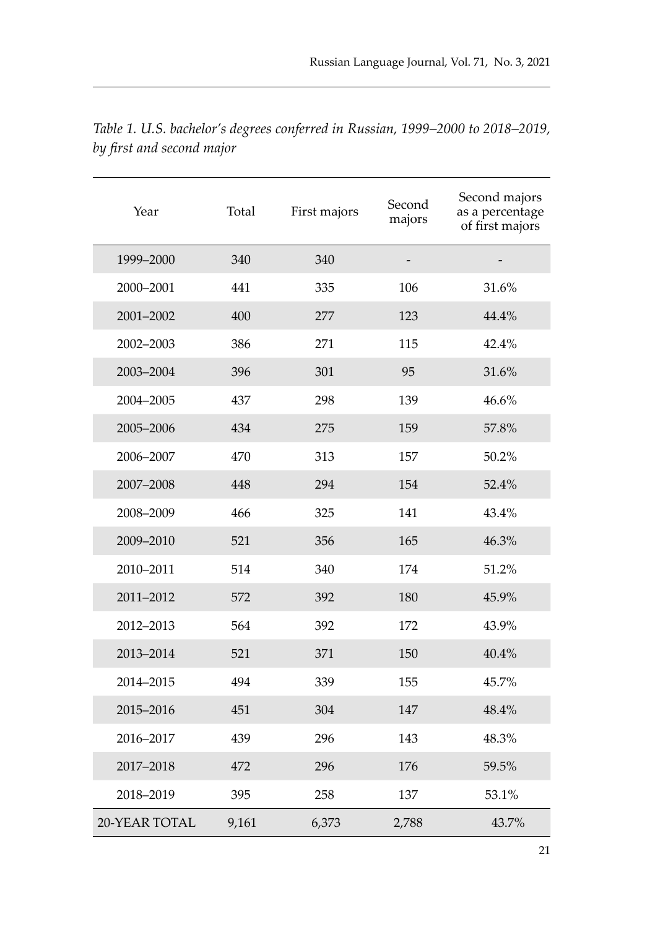| Year          | Total | First majors | Second<br>majors | Second majors<br>as a percentage<br>of first majors |
|---------------|-------|--------------|------------------|-----------------------------------------------------|
| 1999-2000     | 340   | 340          |                  |                                                     |
| 2000-2001     | 441   | 335          | 106              | 31.6%                                               |
| 2001-2002     | 400   | 277          | 123              | 44.4%                                               |
| 2002-2003     | 386   | 271          | 115              | 42.4%                                               |
| 2003-2004     | 396   | 301          | 95               | 31.6%                                               |
| 2004-2005     | 437   | 298          | 139              | 46.6%                                               |
| 2005-2006     | 434   | 275          | 159              | 57.8%                                               |
| 2006-2007     | 470   | 313          | 157              | 50.2%                                               |
| 2007-2008     | 448   | 294          | 154              | 52.4%                                               |
| 2008-2009     | 466   | 325          | 141              | 43.4%                                               |
| 2009-2010     | 521   | 356          | 165              | 46.3%                                               |
| 2010-2011     | 514   | 340          | 174              | 51.2%                                               |
| 2011-2012     | 572   | 392          | 180              | 45.9%                                               |
| 2012-2013     | 564   | 392          | 172              | 43.9%                                               |
| 2013-2014     | 521   | 371          | 150              | 40.4%                                               |
| 2014-2015     | 494   | 339          | 155              | 45.7%                                               |
| 2015-2016     | 451   | 304          | 147              | 48.4%                                               |
| 2016-2017     | 439   | 296          | 143              | 48.3%                                               |
| 2017-2018     | 472   | 296          | 176              | 59.5%                                               |
| 2018-2019     | 395   | 258          | 137              | 53.1%                                               |
| 20-YEAR TOTAL | 9,161 | 6,373        | 2,788            | 43.7%                                               |

*Table 1. U.S. bachelor's degrees conferred in Russian, 1999–2000 to 2018–2019, by first and second major*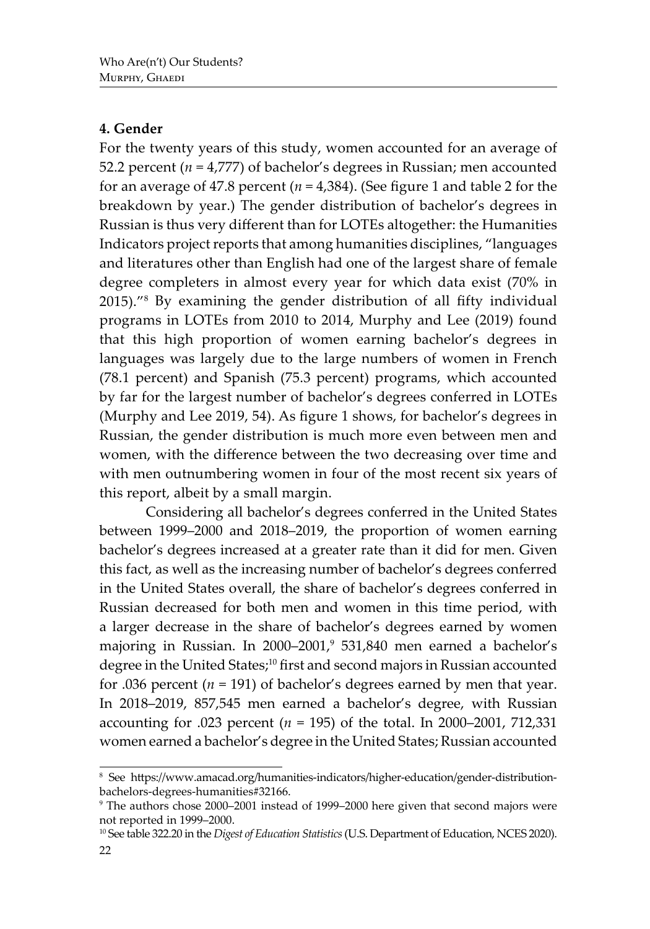# **4. Gender**

For the twenty years of this study, women accounted for an average of 52.2 percent (*n* = 4,777) of bachelor's degrees in Russian; men accounted for an average of 47.8 percent (*n* = 4,384). (See figure 1 and table 2 for the breakdown by year.) The gender distribution of bachelor's degrees in Russian is thus very different than for LOTEs altogether: the Humanities Indicators project reports that among humanities disciplines, "languages and literatures other than English had one of the largest share of female degree completers in almost every year for which data exist (70% in 2015)."8 By examining the gender distribution of all fifty individual programs in LOTEs from 2010 to 2014, Murphy and Lee (2019) found that this high proportion of women earning bachelor's degrees in languages was largely due to the large numbers of women in French (78.1 percent) and Spanish (75.3 percent) programs, which accounted by far for the largest number of bachelor's degrees conferred in LOTEs (Murphy and Lee 2019, 54). As figure 1 shows, for bachelor's degrees in Russian, the gender distribution is much more even between men and women, with the difference between the two decreasing over time and with men outnumbering women in four of the most recent six years of this report, albeit by a small margin.

Considering all bachelor's degrees conferred in the United States between 1999–2000 and 2018–2019, the proportion of women earning bachelor's degrees increased at a greater rate than it did for men. Given this fact, as well as the increasing number of bachelor's degrees conferred in the United States overall, the share of bachelor's degrees conferred in Russian decreased for both men and women in this time period, with a larger decrease in the share of bachelor's degrees earned by women majoring in Russian. In 2000–2001,<sup>9</sup> 531,840 men earned a bachelor's degree in the United States;<sup>10</sup> first and second majors in Russian accounted for .036 percent  $(n = 191)$  of bachelor's degrees earned by men that year. In 2018–2019, 857,545 men earned a bachelor's degree, with Russian accounting for .023 percent ( $n = 195$ ) of the total. In 2000–2001, 712,331 women earned a bachelor's degree in the United States; Russian accounted

<sup>8</sup> See https://www.amacad.org/humanities-indicators/higher-education/gender-distributionbachelors-degrees-humanities#32166.

<sup>9</sup> The authors chose 2000–2001 instead of 1999–2000 here given that second majors were not reported in 1999–2000.

<sup>10</sup> See table 322.20 in the *Digest of Education Statistics* (U.S. Department of Education, NCES 2020).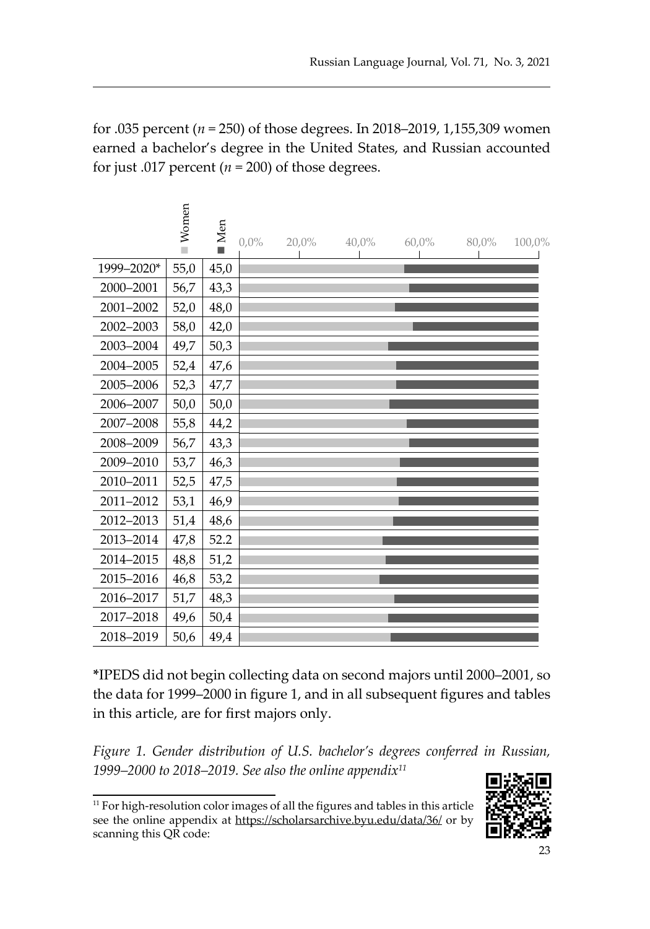for .035 percent (*n* = 250) of those degrees. In 2018–2019, 1,155,309 women earned a bachelor's degree in the United States, and Russian accounted for just .017 percent ( $n = 200$ ) of those degrees.

 $\epsilon$ 

|            | Women | Men  | $0.0\%$ | $20,0\%$ | $40,0\%$ | $60,0\%$ | 80,0% | 100,0% |
|------------|-------|------|---------|----------|----------|----------|-------|--------|
| 1999-2020* | 55,0  | 45,0 |         |          |          |          |       |        |
| 2000-2001  | 56,7  | 43,3 |         |          |          |          |       |        |
| 2001-2002  | 52,0  | 48,0 |         |          |          |          |       |        |
| 2002-2003  | 58,0  | 42,0 |         |          |          |          |       |        |
| 2003-2004  | 49,7  | 50,3 |         |          |          |          |       |        |
| 2004-2005  | 52,4  | 47,6 |         |          |          |          |       |        |
| 2005-2006  | 52,3  | 47,7 |         |          |          |          |       |        |
| 2006-2007  | 50,0  | 50,0 |         |          |          |          |       |        |
| 2007-2008  | 55,8  | 44,2 |         |          |          |          |       |        |
| 2008-2009  | 56,7  | 43,3 |         |          |          |          |       |        |
| 2009-2010  | 53,7  | 46,3 |         |          |          |          |       |        |
| 2010-2011  | 52,5  | 47,5 |         |          |          |          |       |        |
| 2011-2012  | 53,1  | 46,9 |         |          |          |          |       |        |
| 2012-2013  | 51,4  | 48,6 |         |          |          |          |       |        |
| 2013-2014  | 47,8  | 52.2 |         |          |          |          |       |        |
| 2014-2015  | 48,8  | 51,2 |         |          |          |          |       |        |
| 2015-2016  | 46,8  | 53,2 |         |          |          |          |       |        |
| 2016-2017  | 51,7  | 48,3 |         |          |          |          |       |        |
| 2017-2018  | 49,6  | 50,4 |         |          |          |          |       |        |
| 2018-2019  | 50,6  | 49,4 |         |          |          |          |       |        |

**\***IPEDS did not begin collecting data on second majors until 2000–2001, so the data for 1999–2000 in figure 1, and in all subsequent figures and tables in this article, are for first majors only.

*Figure 1. Gender distribution of U.S. bachelor's degrees conferred in Russian, 1999–2000 to 2018–2019. See also the online appendix11*

<sup>&</sup>lt;sup>11</sup> For high-resolution color images of all the figures and tables in this article see the online appendix at https://scholarsarchive.byu.edu/data/36/ or by scanning this QR code:

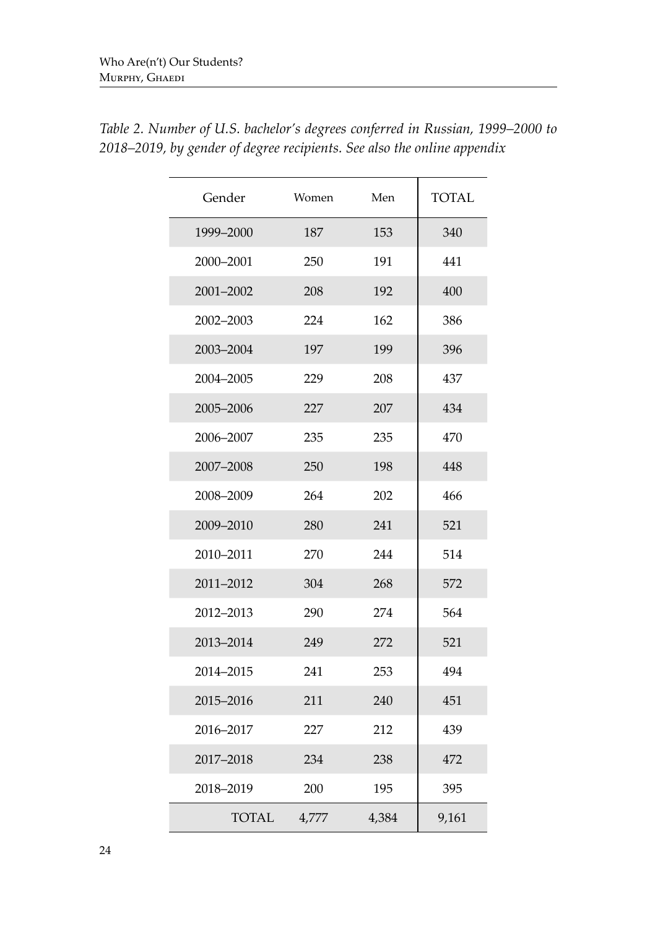| Gender       | Women | Men   | <b>TOTAL</b> |
|--------------|-------|-------|--------------|
| 1999-2000    | 187   | 153   | 340          |
| 2000-2001    | 250   | 191   | 441          |
| 2001-2002    | 208   | 192   | 400          |
| 2002-2003    | 224   | 162   | 386          |
| 2003-2004    | 197   | 199   | 396          |
| 2004-2005    | 229   | 208   | 437          |
| 2005-2006    | 227   | 207   | 434          |
| 2006-2007    | 235   | 235   | 470          |
| 2007-2008    | 250   | 198   | 448          |
| 2008-2009    | 264   | 202   | 466          |
| 2009-2010    | 280   | 241   | 521          |
| 2010-2011    | 270   | 244   | 514          |
| 2011-2012    | 304   | 268   | 572          |
| 2012-2013    | 290   | 274   | 564          |
| 2013-2014    | 249   | 272   | 521          |
| 2014-2015    | 241   | 253   | 494          |
| 2015-2016    | 211   | 240   | 451          |
| 2016-2017    | 227   | 212   | 439          |
| 2017-2018    | 234   | 238   | 472          |
| 2018-2019    | 200   | 195   | 395          |
| <b>TOTAL</b> | 4,777 | 4,384 | 9,161        |

*Table 2. Number of U.S. bachelor's degrees conferred in Russian, 1999–2000 to 2018–2019, by gender of degree recipients. See also the online appendix*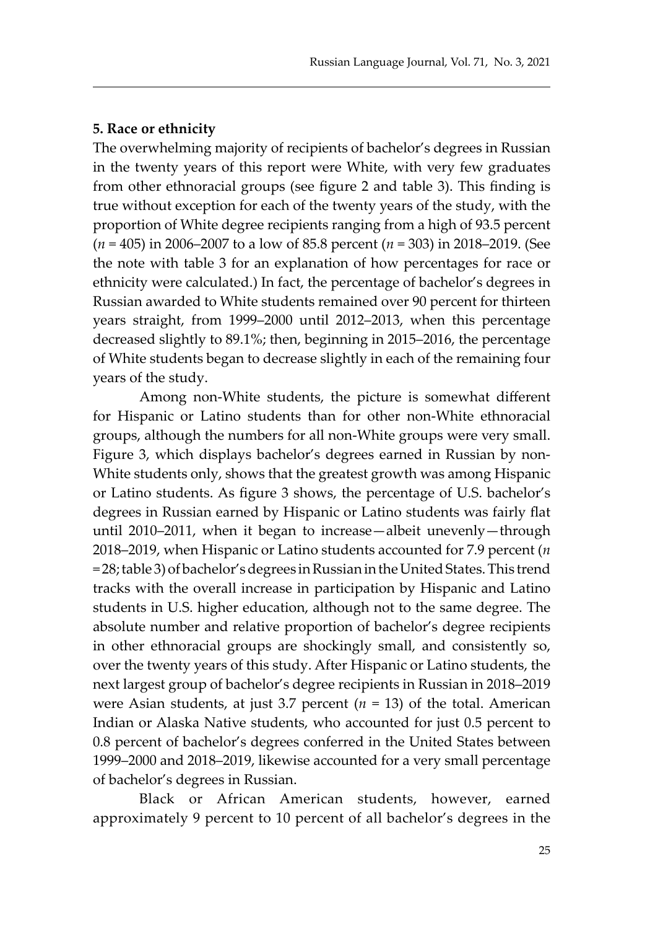#### **5. Race or ethnicity**

The overwhelming majority of recipients of bachelor's degrees in Russian in the twenty years of this report were White, with very few graduates from other ethnoracial groups (see figure 2 and table 3). This finding is true without exception for each of the twenty years of the study, with the proportion of White degree recipients ranging from a high of 93.5 percent (*n* = 405) in 2006–2007 to a low of 85.8 percent (*n* = 303) in 2018–2019. (See the note with table 3 for an explanation of how percentages for race or ethnicity were calculated.) In fact, the percentage of bachelor's degrees in Russian awarded to White students remained over 90 percent for thirteen years straight, from 1999–2000 until 2012–2013, when this percentage decreased slightly to 89.1%; then, beginning in 2015–2016, the percentage of White students began to decrease slightly in each of the remaining four years of the study.

Among non-White students, the picture is somewhat different for Hispanic or Latino students than for other non-White ethnoracial groups, although the numbers for all non-White groups were very small. Figure 3, which displays bachelor's degrees earned in Russian by non-White students only, shows that the greatest growth was among Hispanic or Latino students. As figure 3 shows, the percentage of U.S. bachelor's degrees in Russian earned by Hispanic or Latino students was fairly flat until 2010–2011, when it began to increase—albeit unevenly—through 2018–2019, when Hispanic or Latino students accounted for 7.9 percent (*n* = 28; table 3) of bachelor's degrees in Russian in the United States. This trend tracks with the overall increase in participation by Hispanic and Latino students in U.S. higher education, although not to the same degree. The absolute number and relative proportion of bachelor's degree recipients in other ethnoracial groups are shockingly small, and consistently so, over the twenty years of this study. After Hispanic or Latino students, the next largest group of bachelor's degree recipients in Russian in 2018–2019 were Asian students, at just 3.7 percent  $(n = 13)$  of the total. American Indian or Alaska Native students, who accounted for just 0.5 percent to 0.8 percent of bachelor's degrees conferred in the United States between 1999–2000 and 2018–2019, likewise accounted for a very small percentage of bachelor's degrees in Russian.

Black or African American students, however, earned approximately 9 percent to 10 percent of all bachelor's degrees in the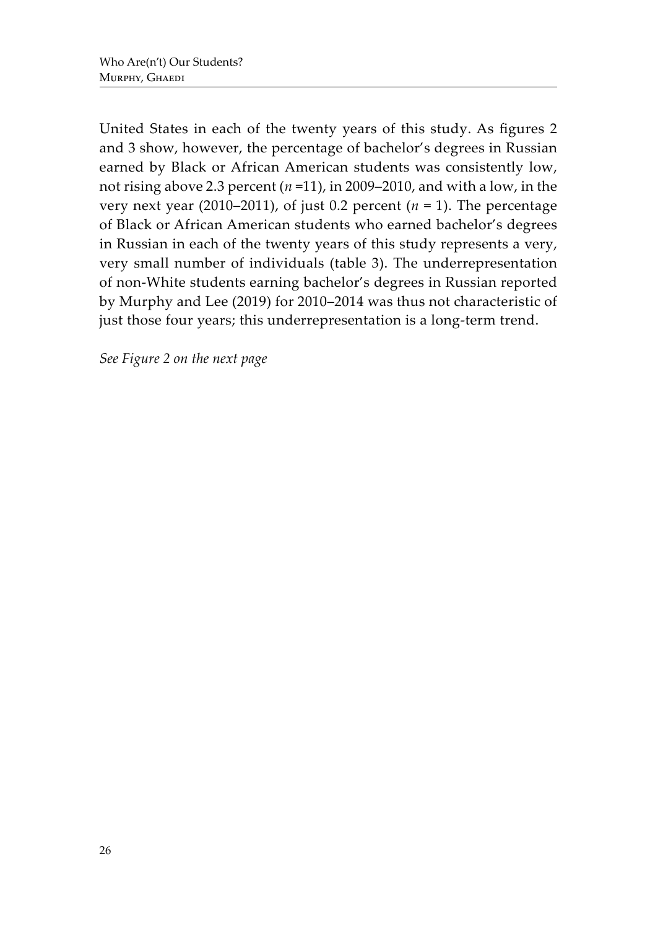United States in each of the twenty years of this study. As figures 2 and 3 show, however, the percentage of bachelor's degrees in Russian earned by Black or African American students was consistently low, not rising above 2.3 percent (*n* =11), in 2009–2010, and with a low, in the very next year (2010–2011), of just 0.2 percent  $(n = 1)$ . The percentage of Black or African American students who earned bachelor's degrees in Russian in each of the twenty years of this study represents a very, very small number of individuals (table 3). The underrepresentation of non-White students earning bachelor's degrees in Russian reported by Murphy and Lee (2019) for 2010–2014 was thus not characteristic of just those four years; this underrepresentation is a long-term trend.

*See Figure 2 on the next page*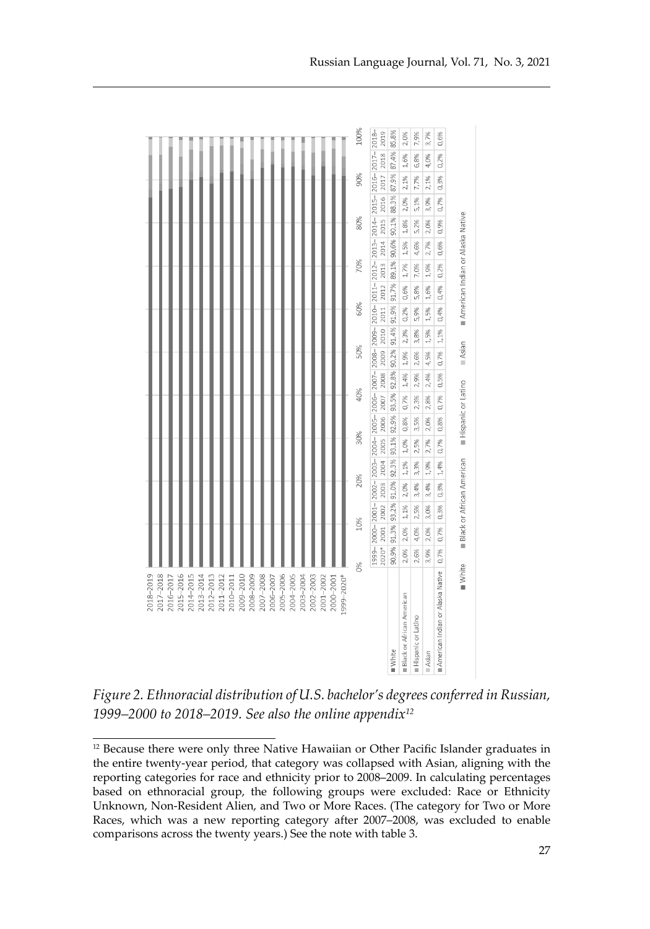

*Figure 2. Ethnoracial distribution of U.S. bachelor's degrees conferred in Russian, 1999–2000 to 2018–2019. See also the online appendix12*

<sup>&</sup>lt;sup>12</sup> Because there were only three Native Hawaiian or Other Pacific Islander graduates in the entire twenty-year period, that category was collapsed with Asian, aligning with the reporting categories for race and ethnicity prior to 2008–2009. In calculating percentages based on ethnoracial group, the following groups were excluded: Race or Ethnicity Unknown, Non-Resident Alien, and Two or More Races. (The category for Two or More Races, which was a new reporting category after 2007–2008, was excluded to enable comparisons across the twenty years.) See the note with table 3.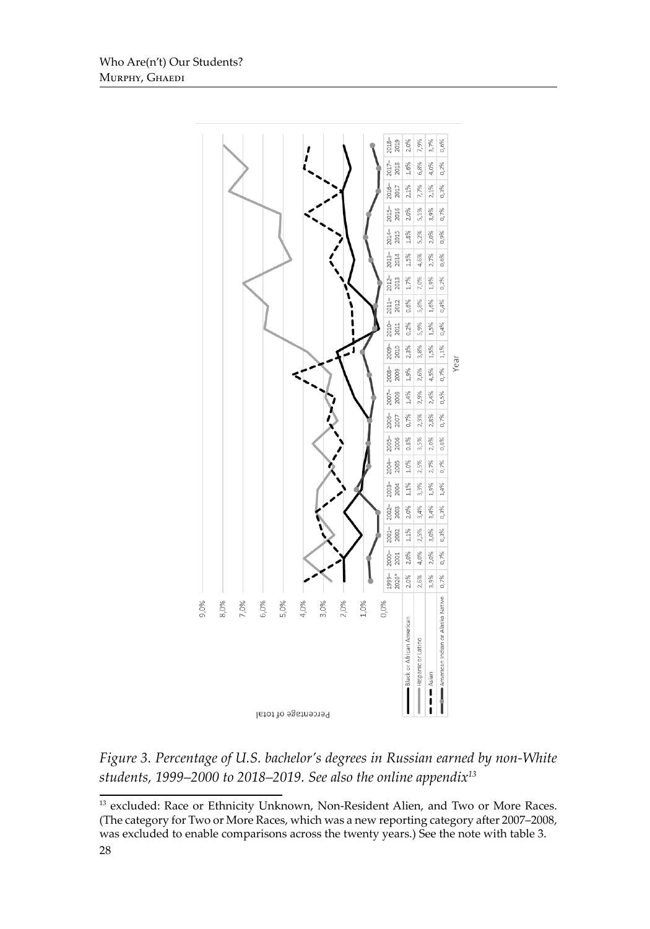

*Figure 3. Percentage of U.S. bachelor's degrees in Russian earned by non-White students, 1999–2000 to 2018–2019. See also the online appendix13*

<sup>28</sup> <sup>13</sup> excluded: Race or Ethnicity Unknown, Non-Resident Alien, and Two or More Races. (The category for Two or More Races, which was a new reporting category after 2007–2008, was excluded to enable comparisons across the twenty years.) See the note with table 3.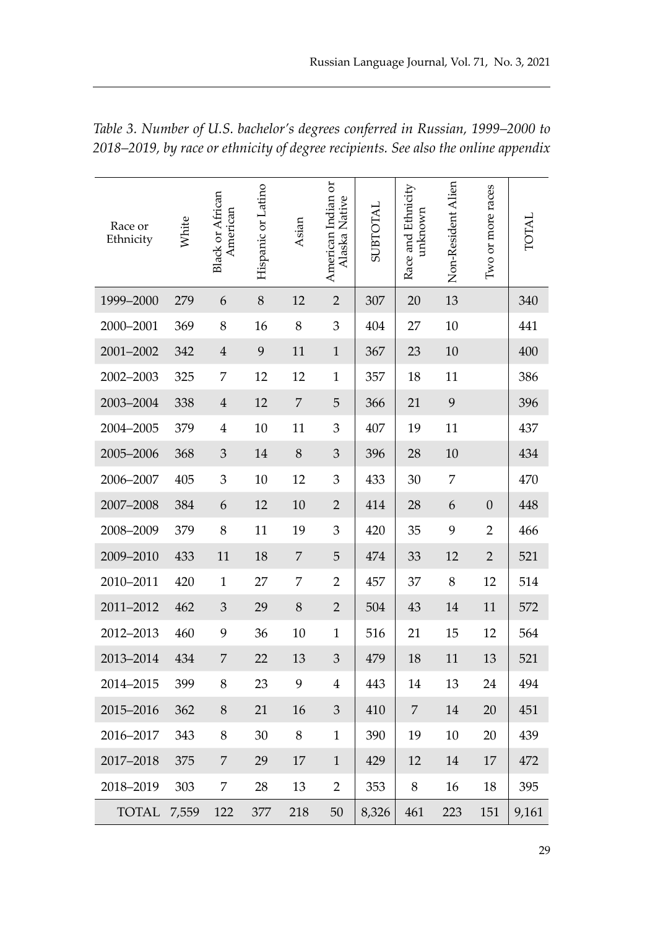| Race or<br>Ethnicity | White | <b>Black or African</b><br>American | Hispanic or Latino | Asian          | American Indian or<br>Alaska Native | SUBTOTAL | Race and Ethnicity<br>unknown | Non-Resident Alien | Two or more races | TOTAL |
|----------------------|-------|-------------------------------------|--------------------|----------------|-------------------------------------|----------|-------------------------------|--------------------|-------------------|-------|
| 1999-2000            | 279   | 6                                   | 8                  | 12             | $\overline{2}$                      | 307      | 20                            | 13                 |                   | 340   |
| 2000-2001            | 369   | 8                                   | 16                 | 8              | 3                                   | 404      | 27                            | 10                 |                   | 441   |
| 2001-2002            | 342   | $\bf 4$                             | 9                  | 11             | $\mathbf 1$                         | 367      | 23                            | 10                 |                   | 400   |
| 2002-2003            | 325   | 7                                   | 12                 | 12             | $\mathbf{1}$                        | 357      | 18                            | 11                 |                   | 386   |
| 2003-2004            | 338   | $\overline{4}$                      | 12                 | $\overline{7}$ | 5                                   | 366      | 21                            | 9                  |                   | 396   |
| 2004-2005            | 379   | $\overline{4}$                      | 10                 | 11             | 3                                   | 407      | 19                            | 11                 |                   | 437   |
| 2005-2006            | 368   | 3                                   | 14                 | 8              | $\mathfrak{Z}$                      | 396      | 28                            | 10                 |                   | 434   |
| 2006-2007            | 405   | 3                                   | 10                 | 12             | 3                                   | 433      | 30                            | 7                  |                   | 470   |
| 2007-2008            | 384   | 6                                   | 12                 | 10             | $\sqrt{2}$                          | 414      | 28                            | 6                  | $\mathbf{0}$      | 448   |
| 2008-2009            | 379   | 8                                   | 11                 | 19             | 3                                   | 420      | 35                            | 9                  | $\overline{2}$    | 466   |
| 2009-2010            | 433   | 11                                  | 18                 | $\overline{7}$ | 5                                   | 474      | 33                            | 12                 | $\sqrt{2}$        | 521   |
| 2010-2011            | 420   | $\mathbf{1}$                        | 27                 | 7              | $\overline{2}$                      | 457      | 37                            | 8                  | 12                | 514   |
| 2011-2012            | 462   | 3                                   | 29                 | 8              | $\overline{2}$                      | 504      | 43                            | 14                 | 11                | 572   |
| 2012-2013            | 460   | 9                                   | 36                 | 10             | $\mathbf 1$                         | 516      | 21                            | 15                 | 12                | 564   |
| 2013-2014            | 434   | 7                                   | 22                 | 13             | $\mathfrak{Z}$                      | 479      | 18                            | 11                 | 13                | 521   |
| 2014-2015            | 399   | 8                                   | 23                 | 9              | $\overline{4}$                      | 443      | 14                            | 13                 | 24                | 494   |
| 2015-2016            | 362   | 8                                   | 21                 | 16             | $\mathfrak{Z}$                      | 410      | $\overline{7}$                | 14                 | 20                | 451   |
| 2016-2017            | 343   | 8                                   | 30                 | 8              | $\mathbf{1}$                        | 390      | 19                            | 10                 | 20                | 439   |
| 2017-2018            | 375   | $\overline{7}$                      | 29                 | $17\,$         | $\mathbf{1}$                        | 429      | 12                            | 14                 | $17\,$            | 472   |
| 2018-2019            | 303   | 7                                   | 28                 | 13             | $\overline{2}$                      | 353      | $\,8\,$                       | 16                 | 18                | 395   |
| <b>TOTAL</b>         | 7,559 | 122                                 | 377                | 218            | 50                                  | 8,326    | 461                           | 223                | 151               | 9,161 |

*Table 3. Number of U.S. bachelor's degrees conferred in Russian, 1999–2000 to 2018–2019, by race or ethnicity of degree recipients. See also the online appendix*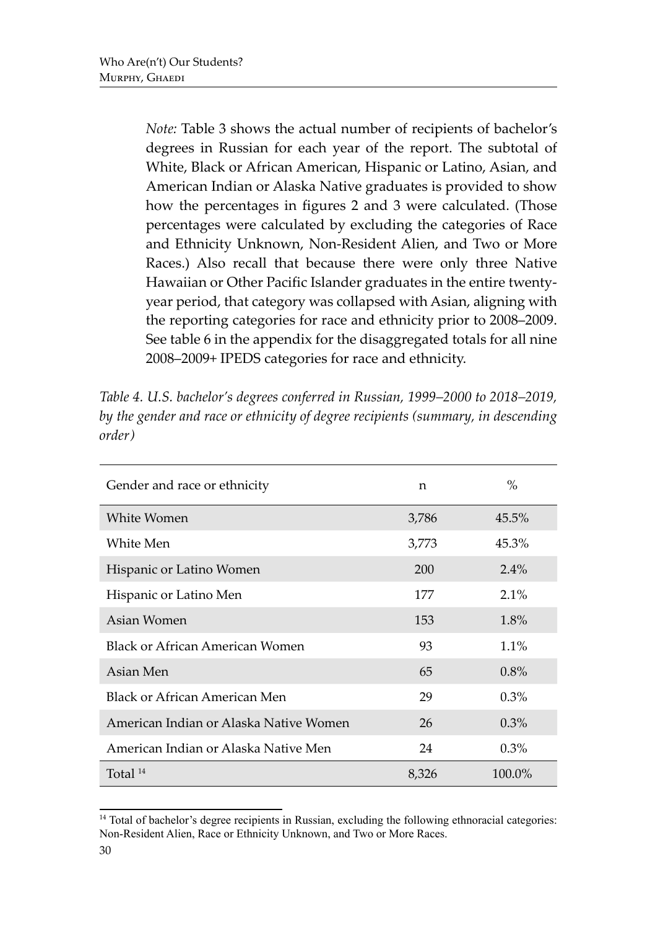*Note:* Table 3 shows the actual number of recipients of bachelor's degrees in Russian for each year of the report. The subtotal of White, Black or African American, Hispanic or Latino, Asian, and American Indian or Alaska Native graduates is provided to show how the percentages in figures 2 and 3 were calculated. (Those percentages were calculated by excluding the categories of Race and Ethnicity Unknown, Non-Resident Alien, and Two or More Races.) Also recall that because there were only three Native Hawaiian or Other Pacific Islander graduates in the entire twentyyear period, that category was collapsed with Asian, aligning with the reporting categories for race and ethnicity prior to 2008–2009. See table 6 in the appendix for the disaggregated totals for all nine 2008–2009+ IPEDS categories for race and ethnicity.

| Gender and race or ethnicity           | n     | $\%$    |
|----------------------------------------|-------|---------|
| White Women                            | 3,786 | 45.5%   |
| White Men                              | 3,773 | 45.3%   |
| Hispanic or Latino Women               | 200   | $2.4\%$ |
| Hispanic or Latino Men                 | 177   | $2.1\%$ |
| Asian Women                            | 153   | $1.8\%$ |
| Black or African American Women        | 93    | $1.1\%$ |
| Asian Men                              | 65    | $0.8\%$ |
| Black or African American Men          | 29    | $0.3\%$ |
| American Indian or Alaska Native Women | 26    | 0.3%    |
| American Indian or Alaska Native Men   | 24    | 0.3%    |
| Total $^{14}$                          | 8,326 | 100.0%  |

*Table 4. U.S. bachelor's degrees conferred in Russian, 1999–2000 to 2018–2019, by the gender and race or ethnicity of degree recipients (summary, in descending order)*

<sup>&</sup>lt;sup>14</sup> Total of bachelor's degree recipients in Russian, excluding the following ethnoracial categories: Non-Resident Alien, Race or Ethnicity Unknown, and Two or More Races.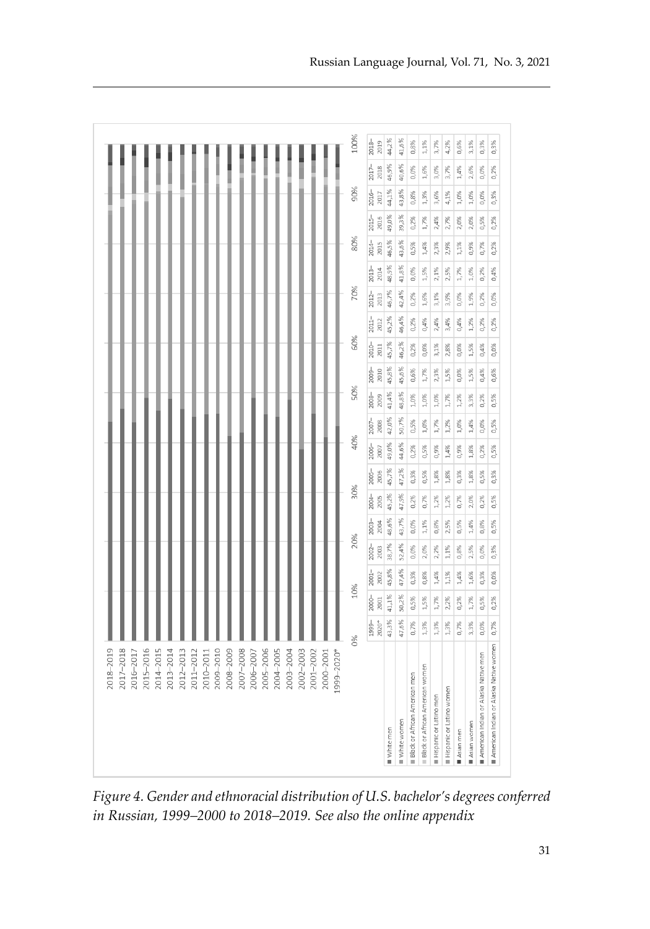| 2000-2001<br>2015-2016<br>2009-2010<br>2008-2009<br>2007-2008<br>2005-2006<br>2004-2005<br>2003-2004<br>999-2020*<br>2014-2015<br>2013-2014<br>2012-2013<br>2011-2012<br>2002-2003<br>2001-2002<br>2010-2011<br>2006-2007<br>2016-2017 |                  |               |                  |                  |                  |                  |                  |               |                  |               |                  |               |                  |                  |                  |                  |                  |                  |                  |                  |
|----------------------------------------------------------------------------------------------------------------------------------------------------------------------------------------------------------------------------------------|------------------|---------------|------------------|------------------|------------------|------------------|------------------|---------------|------------------|---------------|------------------|---------------|------------------|------------------|------------------|------------------|------------------|------------------|------------------|------------------|
|                                                                                                                                                                                                                                        | 0%               | 10%           |                  | 20%              |                  | 30%              |                  | 40%           |                  | 50%           |                  | 60%           |                  | 70%              |                  | 80%              |                  | 90%              |                  | 100%             |
|                                                                                                                                                                                                                                        | $2020*$<br>1999- | 2000-<br>2001 | $2001 -$<br>2002 | $2002 -$<br>2003 | $2003 -$<br>2004 | $2004 -$<br>2005 | $2005 -$<br>2006 | 2006-<br>2007 | $2007 -$<br>2008 | 2008-<br>2009 | $2009 -$<br>2010 | 2010-<br>2011 | $2011 -$<br>2012 | $2012 -$<br>2013 | $2013 -$<br>2014 | $2014 -$<br>2015 | $2015 -$<br>2016 | $2016 -$<br>2017 | $2017 -$<br>2018 | $2018 -$<br>2019 |
| White men                                                                                                                                                                                                                              | 43,3%            | 41,1%         | 45,8%            | 38,7%            | 48,6%            | 45,2%            | 45,7%            | 49,0%         | 42,0%            | 41,4%         | 45,8%            | 45,7%         | 45,2%            | 46,7%            | 48,9%            | 46,5%            | 49,0%            | 44,1%            | 46,9%            | 44,2%            |
| White women                                                                                                                                                                                                                            | 47,6%            | 50,2%         | 47,4%            | 52,4%            | 43,7%            | 47,9%            | 47,2%            | 44,6%         | 50,7%            | 48,8%         | 45,6%            | 46,2%         | 46,4%            | 42,4%            | 41,8%            | 43,6%            | 39,3%            | 43,8%            | 40,6%            | 41,6%            |
| Black or African American men                                                                                                                                                                                                          | 0,7%             | $0,5\%$       | $0,3\%$          | 0,0%             | 0,0%             | $0,2\%$          | $0,3\%$          | $0,2\%$       | $0,5\%$          | 1,0%          | 0,6%             | $0,2\%$       | $0,2\%$          | $0,2\%$          | 0,0%             | $0,5\%$          | $0,2\%$          | $0,8\%$          | 0,0%             | $0,8\%$          |
| Black or African American women                                                                                                                                                                                                        | 1,3%             | 1,5%          | 0,8%             | 2,0%             | 1,1%             | 0,7%             | $0,5\%$          | $0,5\%$       | 1,0%             | 1,0%          | 1,7%             | 0,0%          | 0,4%             | 1,6%             | 1,5%             | 1,4%             | 1,7%             | 1,3%             | 1,6%             | $1,1\%$          |
| Hispanic or Latino men                                                                                                                                                                                                                 | 1,3%             | 1,7%          | 1,4%             | 2,2%             | 0,8%             | 1,2%             | 1,8%             | 0,9%          | 1,7%             | 1,0%          | 2,3%             | 3,1%          | 2,4%             | $3,1\%$          | 2,1%             | 2,3%             | 2,4%             | 3,6%             | 3,0%             | 3,7%             |
| Hispanic or Latino women                                                                                                                                                                                                               | 1,3%             | 2,2%          | $1,1\%$          | 1,1%             | 2,5%             | $1,2\%$          | $1,8\%$          | 1,4%          | 1,2%             | 1,7%          | 1,5%             | 2,8%          | 3,4%             | 3,9%             | 2,5%             | 2,9%             | 2,7%             | 4,1%             | 3,7%             | 4,2%             |
| Asian men                                                                                                                                                                                                                              | 0,7%             | $0,2\%$       | $1,4\%$          | 0,8%             | 0,5%             | 0,7%             | $0,3\%$          | 0,9%          | $1,0\%$          | $1,2\%$       | 0,0%             | 0,0%          | 0,4%             | 0,0%             | 1,7%             | $1,1\%$          | 2,0%             | $1,0\%$          | 1,4%             | 0,6%             |
| Asian women                                                                                                                                                                                                                            | 3,3%             | 1,7%          | $1,6\%$          | 2,5%             | 1,4%             | 2,0%             | $1,8\%$          | $1,8\%$       | 1,4%             | $3,3\%$       | 1,5%             | 1,5%          | $1,2\%$          | 1,9%             | 1,0%             | 0,9%             | 2,0%             | 1,0%             | 2,6%             | $3,1\%$          |
| American Indian or Alaska Native men                                                                                                                                                                                                   | 0,0%             | $0,5\%$       | 0,3%             | 0,0%             | 0,8%             | $0,2\%$          | 0,5%             | $0,2\%$       | 0,0%             | $0,2\%$       | 0,4%             | 0,4%          | $0,2\%$          | $0,2\%$          | $0,2\%$          | 0,7%             | 0,5%             | 0,0%             | 0,0%             | 0,3%             |
| American Indian or Alaska Native women                                                                                                                                                                                                 | 0,7%             | 0,2%          | 0,0%             | 0,3%             | 0,5%             | 0,5%             | 0,3%             | $0,5\%$       | 0,5%             | 0,5%          | 0,6%             | 0,0%          | 0,2%             | 0,0%             | 0,4%             | $0,2\%$          | 0,2%             | $0,3\%$          | $0,2\%$          | $0,3\%$          |

*Figure 4. Gender and ethnoracial distribution of U.S. bachelor's degrees conferred in Russian, 1999–2000 to 2018–2019. See also the online appendix*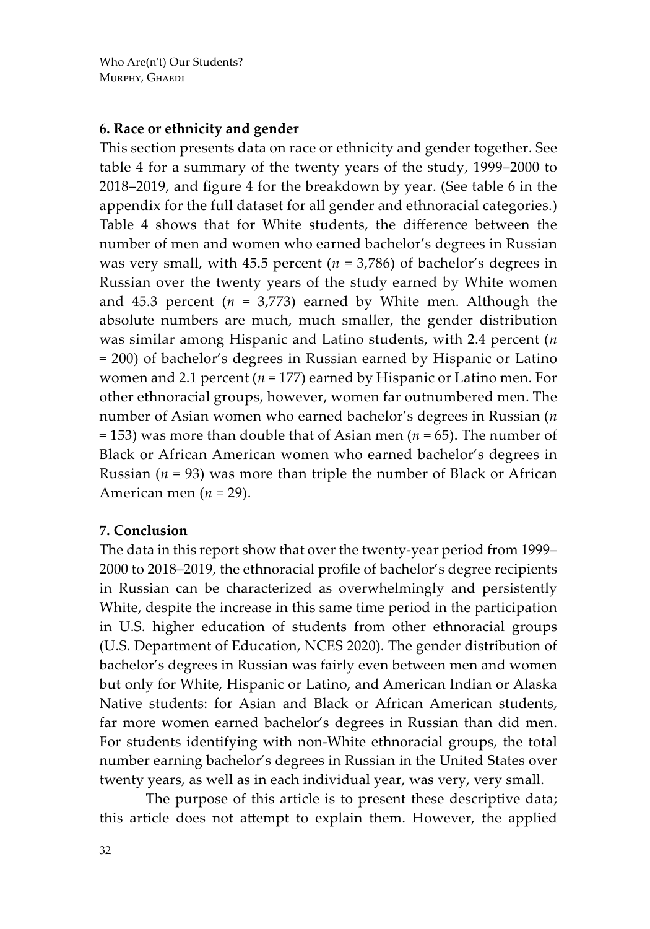## **6. Race or ethnicity and gender**

This section presents data on race or ethnicity and gender together. See table 4 for a summary of the twenty years of the study, 1999–2000 to 2018–2019, and figure 4 for the breakdown by year. (See table 6 in the appendix for the full dataset for all gender and ethnoracial categories.) Table 4 shows that for White students, the difference between the number of men and women who earned bachelor's degrees in Russian was very small, with 45.5 percent ( $n = 3,786$ ) of bachelor's degrees in Russian over the twenty years of the study earned by White women and 45.3 percent  $(n = 3,773)$  earned by White men. Although the absolute numbers are much, much smaller, the gender distribution was similar among Hispanic and Latino students, with 2.4 percent (*n* = 200) of bachelor's degrees in Russian earned by Hispanic or Latino women and 2.1 percent (*n* = 177) earned by Hispanic or Latino men. For other ethnoracial groups, however, women far outnumbered men. The number of Asian women who earned bachelor's degrees in Russian (*n* = 153) was more than double that of Asian men (*n* = 65). The number of Black or African American women who earned bachelor's degrees in Russian ( $n = 93$ ) was more than triple the number of Black or African American men (*n* = 29).

### **7. Conclusion**

The data in this report show that over the twenty-year period from 1999– 2000 to 2018–2019, the ethnoracial profile of bachelor's degree recipients in Russian can be characterized as overwhelmingly and persistently White, despite the increase in this same time period in the participation in U.S. higher education of students from other ethnoracial groups (U.S. Department of Education, NCES 2020). The gender distribution of bachelor's degrees in Russian was fairly even between men and women but only for White, Hispanic or Latino, and American Indian or Alaska Native students: for Asian and Black or African American students, far more women earned bachelor's degrees in Russian than did men. For students identifying with non-White ethnoracial groups, the total number earning bachelor's degrees in Russian in the United States over twenty years, as well as in each individual year, was very, very small.

The purpose of this article is to present these descriptive data; this article does not attempt to explain them. However, the applied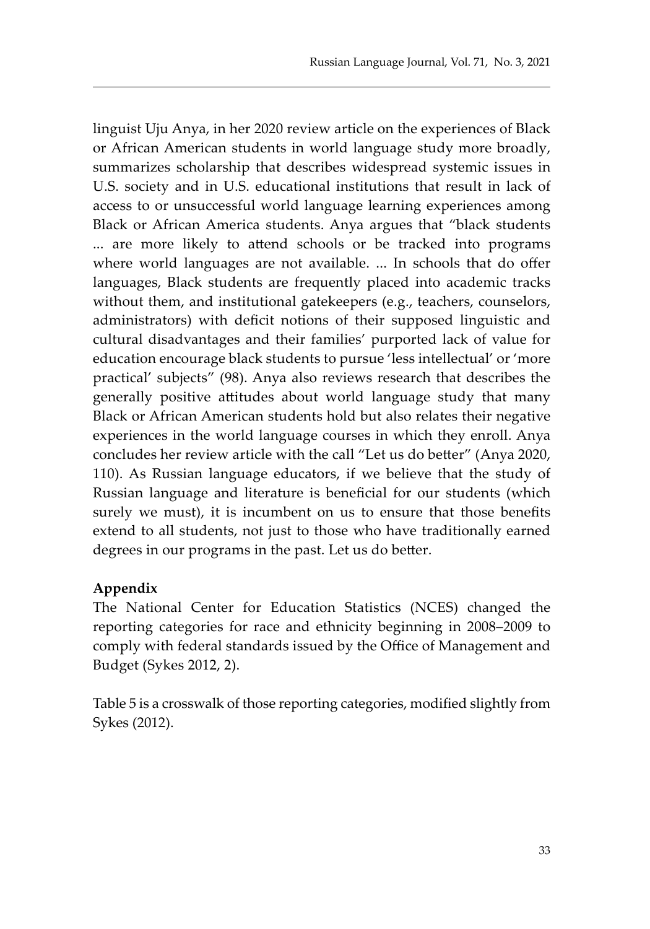linguist Uju Anya, in her 2020 review article on the experiences of Black or African American students in world language study more broadly, summarizes scholarship that describes widespread systemic issues in U.S. society and in U.S. educational institutions that result in lack of access to or unsuccessful world language learning experiences among Black or African America students. Anya argues that "black students ... are more likely to attend schools or be tracked into programs where world languages are not available. ... In schools that do offer languages, Black students are frequently placed into academic tracks without them, and institutional gatekeepers (e.g., teachers, counselors, administrators) with deficit notions of their supposed linguistic and cultural disadvantages and their families' purported lack of value for education encourage black students to pursue 'less intellectual' or 'more practical' subjects" (98). Anya also reviews research that describes the generally positive attitudes about world language study that many Black or African American students hold but also relates their negative experiences in the world language courses in which they enroll. Anya concludes her review article with the call "Let us do better" (Anya 2020, 110). As Russian language educators, if we believe that the study of Russian language and literature is beneficial for our students (which surely we must), it is incumbent on us to ensure that those benefits extend to all students, not just to those who have traditionally earned degrees in our programs in the past. Let us do better.

# **Appendix**

The National Center for Education Statistics (NCES) changed the reporting categories for race and ethnicity beginning in 2008–2009 to comply with federal standards issued by the Office of Management and Budget (Sykes 2012, 2).

Table 5 is a crosswalk of those reporting categories, modified slightly from Sykes (2012).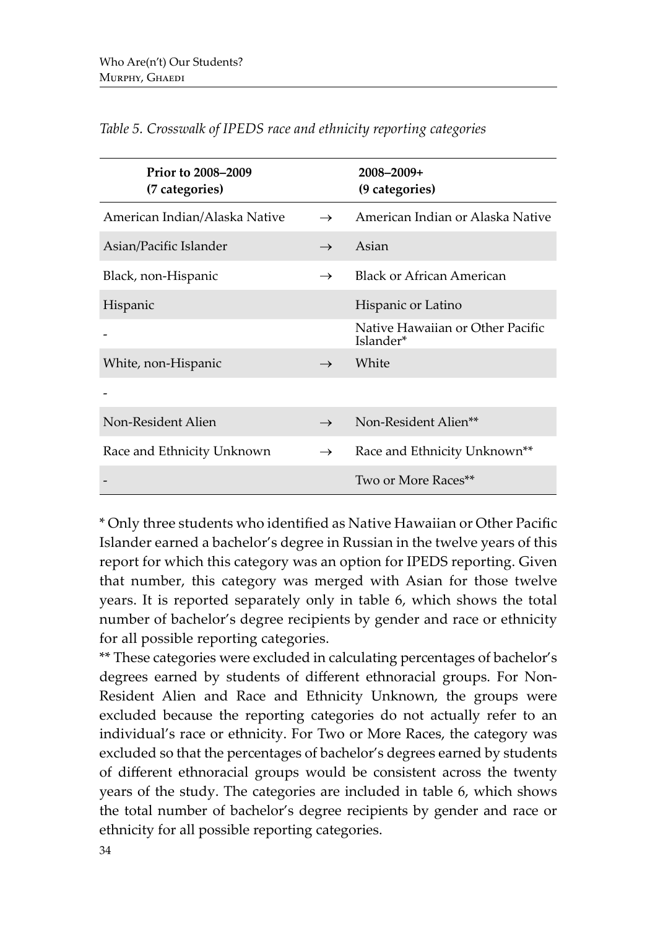| <b>Prior to 2008–2009</b><br>(7 categories) |               | $2008 - 2009 +$<br>(9 categories)             |
|---------------------------------------------|---------------|-----------------------------------------------|
| American Indian/Alaska Native               | $\rightarrow$ | American Indian or Alaska Native              |
| Asian/Pacific Islander                      | $\rightarrow$ | Asian                                         |
| Black, non-Hispanic                         | $\rightarrow$ | <b>Black or African American</b>              |
| Hispanic                                    |               | Hispanic or Latino                            |
|                                             |               | Native Hawaiian or Other Pacific<br>Islander* |
| White, non-Hispanic                         | $\rightarrow$ | White                                         |
|                                             |               |                                               |
| Non-Resident Alien                          | $\rightarrow$ | Non-Resident Alien**                          |
| Race and Ethnicity Unknown                  | $\rightarrow$ | Race and Ethnicity Unknown <sup>**</sup>      |
|                                             |               | Two or More Races**                           |

*Table 5. Crosswalk of IPEDS race and ethnicity reporting categories*

\* Only three students who identified as Native Hawaiian or Other Pacific Islander earned a bachelor's degree in Russian in the twelve years of this report for which this category was an option for IPEDS reporting. Given that number, this category was merged with Asian for those twelve years. It is reported separately only in table 6, which shows the total number of bachelor's degree recipients by gender and race or ethnicity for all possible reporting categories.

\*\* These categories were excluded in calculating percentages of bachelor's degrees earned by students of different ethnoracial groups. For Non-Resident Alien and Race and Ethnicity Unknown, the groups were excluded because the reporting categories do not actually refer to an individual's race or ethnicity. For Two or More Races, the category was excluded so that the percentages of bachelor's degrees earned by students of different ethnoracial groups would be consistent across the twenty years of the study. The categories are included in table 6, which shows the total number of bachelor's degree recipients by gender and race or ethnicity for all possible reporting categories.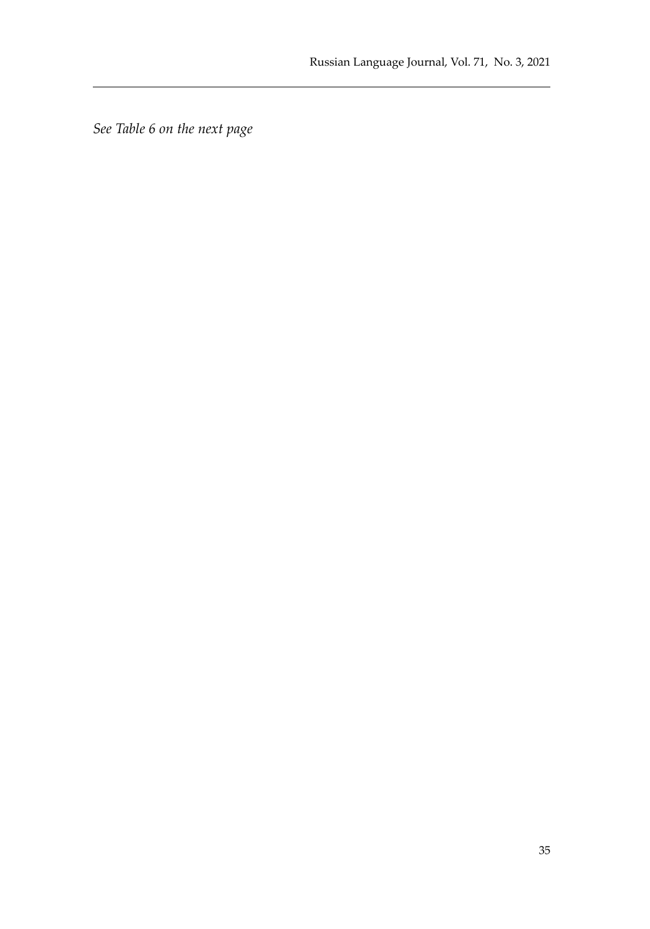*See Table 6 on the next page*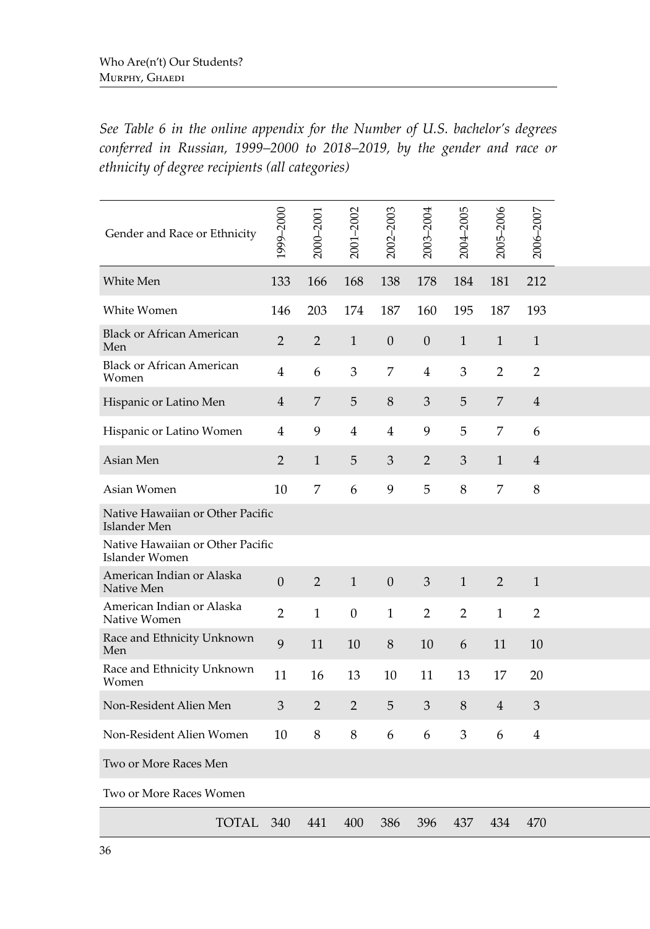*See Table 6 in the online appendix for the Number of U.S. bachelor's degrees conferred in Russian, 1999–2000 to 2018–2019, by the gender and race or ethnicity of degree recipients (all categories)*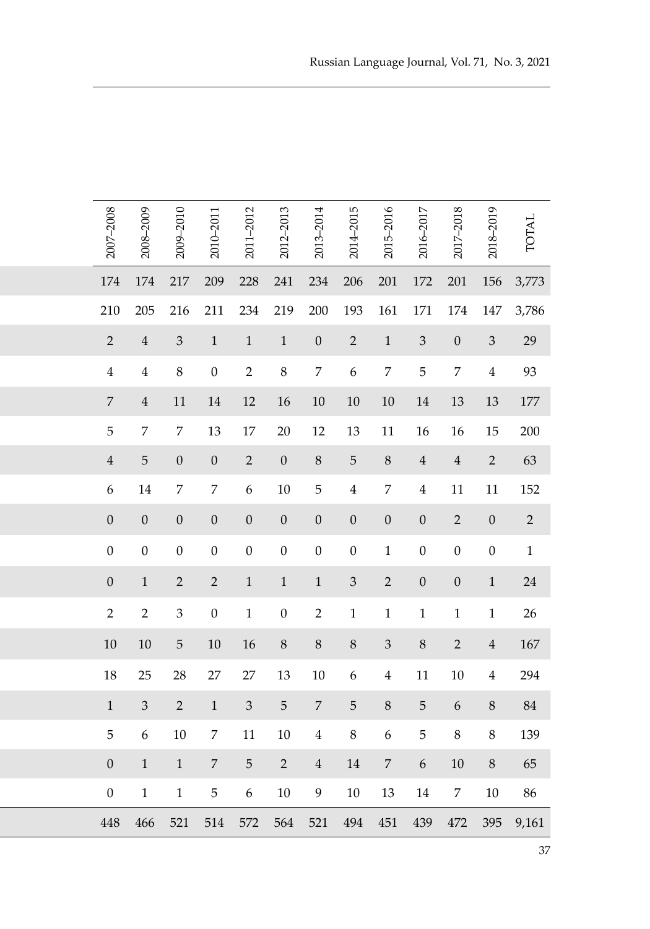| 2007-2008        | 2008-2009                   | 2009-2010                   | 2010-2011                                     | 2011-2012                   | 2012-2013        | 2013-2014      | 2014-2015        | 2015-2016        | 2016-2017        | 2017-2018        | 2018-2019        | <b>TOTAL</b>   |
|------------------|-----------------------------|-----------------------------|-----------------------------------------------|-----------------------------|------------------|----------------|------------------|------------------|------------------|------------------|------------------|----------------|
| $174\,$          | 174                         | 217                         | 209                                           | 228                         | $241\,$          | 234            | $206\,$          | $201\,$          | 172              | 201              | 156              | 3,773          |
| 210              | 205                         | 216                         | 211                                           | 234                         | 219              | 200            | 193              | 161              | 171              | 174              | 147              | 3,786          |
| $\overline{2}$   | $\overline{4}$              | $\mathfrak{Z}$              | $\mathbf{1}$                                  | $\mathbf{1}$                | $\mathbf{1}$     | $\overline{0}$ | $\overline{2}$   | $\mathbf{1}$     | $\mathfrak{Z}$   | $\mathbf{0}$     | $\sqrt{3}$       | 29             |
| $\overline{4}$   | $\overline{4}$              | $\,8\,$                     | $\boldsymbol{0}$                              | $\sqrt{2}$                  | $8\,$            | $\overline{7}$ | $\boldsymbol{6}$ | 7                | 5                | $\overline{7}$   | $\boldsymbol{4}$ | 93             |
| $\overline{7}$   | $\overline{4}$              | 11                          | 14                                            | $12\,$                      | 16               | $10\,$         | 10               | $10\,$           | 14               | 13               | 13               | 177            |
| $\sqrt{5}$       | $\overline{7}$              | $\overline{7}$              | 13                                            | 17                          | $20\,$           | 12             | 13               | 11               | 16               | 16               | 15               | $200\,$        |
| $\overline{4}$   | $\mathbf 5$                 | $\overline{0}$              | $\overline{0}$                                | $\overline{2}$              | $\boldsymbol{0}$ | $8\,$          | $\overline{5}$   | $\,8\,$          | $\overline{4}$   | $\overline{4}$   | $\overline{2}$   | 63             |
| $\boldsymbol{6}$ | $14\,$                      | 7                           | 7                                             | $\boldsymbol{6}$            | $10\,$           | $\mathbf 5$    | 4                | 7                | 4                | $11\,$           | 11               | 152            |
| $\boldsymbol{0}$ | $\boldsymbol{0}$            | $\mathbf{0}$                | $\mathbf{0}$                                  | $\boldsymbol{0}$            | $\theta$         | $\mathbf{0}$   | $\mathbf{0}$     | $\boldsymbol{0}$ | $\boldsymbol{0}$ | $\overline{2}$   | $\mathbf{0}$     | $\overline{2}$ |
| $\boldsymbol{0}$ | $\boldsymbol{0}$            | $\boldsymbol{0}$            | $\boldsymbol{0}$                              | $\boldsymbol{0}$            | $\boldsymbol{0}$ | $\overline{0}$ | $\boldsymbol{0}$ | $\mathbf{1}$     | $\boldsymbol{0}$ | $\boldsymbol{0}$ | $\boldsymbol{0}$ | $\mathbf{1}$   |
| $\theta$         | $\mathbf{1}$                | $\overline{2}$              | $\overline{2}$                                | $\mathbf{1}$                | $\mathbf{1}$     | $\mathbf{1}$   | $\mathfrak{Z}$   | $\overline{2}$   | $\boldsymbol{0}$ | $\mathbf{0}$     | $\mathbf{1}$     | $24\,$         |
| $\overline{2}$   | $\overline{2}$              | $\ensuremath{\mathfrak{Z}}$ | $\boldsymbol{0}$                              | $\mathbf{1}$                | $\boldsymbol{0}$ | $\overline{2}$ | $\mathbf{1}$     | 1                | $\mathbf{1}$     | 1                | $\mathbf{1}$     | 26             |
| $10\,$           | $10\,$                      | $\mathbf 5$                 | $10\,$                                        | 16                          | $8\,$            | $8\,$          | $\,8\,$          | $\mathfrak{Z}$   | $8\,$            | $\sqrt{2}$       | $\overline{4}$   | 167            |
| $18\,$           | $25\,$                      | 28                          | $27\,$                                        | $27\,$                      | 13               | $10\,$         | 6                | $\overline{4}$   | 11               | $10\,$           | $\overline{4}$   | 294            |
| $\mathbf{1}$     | $\ensuremath{\mathfrak{Z}}$ | $\overline{2}$              | $\mathbf{1}$                                  | $\ensuremath{\mathfrak{Z}}$ | $\overline{5}$   | $\overline{7}$ | $\sqrt{5}$       | $\,8\,$          | $\overline{5}$   | 6                | $8\phantom{.}8$  | $84\,$         |
| $\sqrt{5}$       | 6                           | $10\,$                      | 7                                             | $11\,$                      | 10               | $\overline{4}$ | $\,8\,$          | 6                | 5                | $\,8\,$          | $\,8\,$          | 139            |
| $\boldsymbol{0}$ | $\mathbf{1}$                | 1                           | 7                                             | $\sqrt{5}$                  | $\overline{2}$   | $\overline{4}$ | 14               | 7                | 6                | $10\,$           | $\,8\,$          | 65             |
| $\boldsymbol{0}$ | $\mathbf{1}$                | 1                           | 5                                             | $\boldsymbol{6}$            | $10\,$           | $\overline{9}$ | $10\,$           | 13               | 14               | $\overline{7}$   | $10\,$           | 86             |
| 448              | 466                         |                             | 521 514 572 564 521 494 451 439 472 395 9,161 |                             |                  |                |                  |                  |                  |                  |                  |                |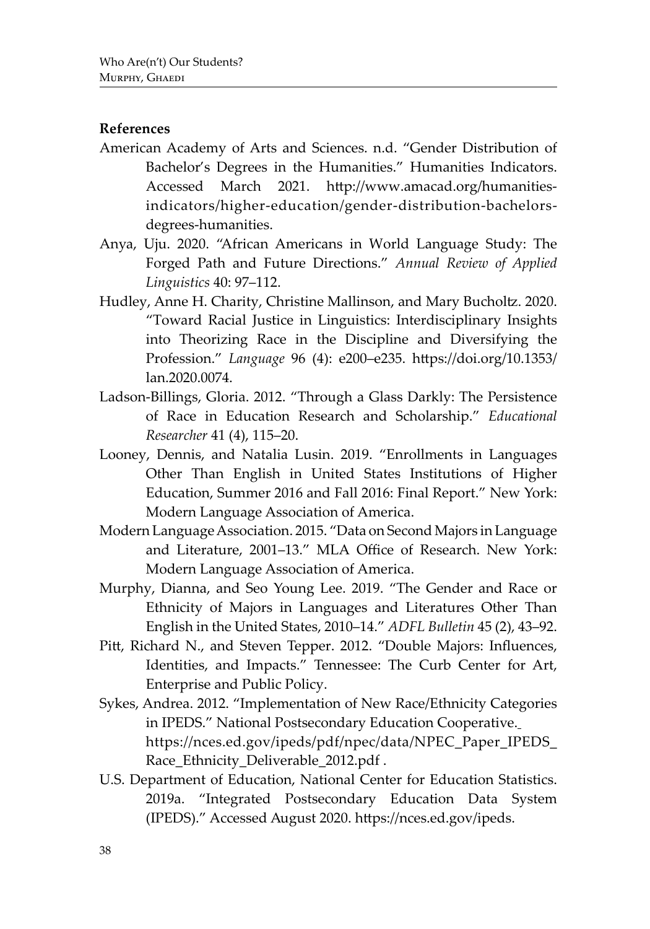### **References**

- American Academy of Arts and Sciences. n.d. "Gender Distribution of Bachelor's Degrees in the Humanities." Humanities Indicators. Accessed March 2021. http://www.amacad.org/humanitiesindicators/higher-education/gender-distribution-bachelorsdegrees-humanities.
- Anya, Uju. 2020. "African Americans in World Language Study: The Forged Path and Future Directions." *Annual Review of Applied Linguistics* 40: 97–112.
- Hudley, Anne H. Charity, Christine Mallinson, and Mary Bucholtz. 2020. "Toward Racial Justice in Linguistics: Interdisciplinary Insights into Theorizing Race in the Discipline and Diversifying the Profession." *Language* 96 (4): e200–e235. https://doi.org/10.1353/ lan.2020.0074.
- Ladson-Billings, Gloria. 2012. "Through a Glass Darkly: The Persistence of Race in Education Research and Scholarship." *Educational Researcher* 41 (4), 115–20.
- Looney, Dennis, and Natalia Lusin. 2019. "Enrollments in Languages Other Than English in United States Institutions of Higher Education, Summer 2016 and Fall 2016: Final Report." New York: Modern Language Association of America.
- Modern Language Association. 2015. "Data on Second Majors in Language and Literature, 2001–13." MLA Office of Research. New York: Modern Language Association of America.
- Murphy, Dianna, and Seo Young Lee. 2019. "The Gender and Race or Ethnicity of Majors in Languages and Literatures Other Than English in the United States, 2010–14." *ADFL Bulletin* 45 (2), 43–92.
- Pitt, Richard N., and Steven Tepper. 2012. "Double Majors: Influences, Identities, and Impacts." Tennessee: The Curb Center for Art, Enterprise and Public Policy.
- Sykes, Andrea. 2012. "Implementation of New Race/Ethnicity Categories in IPEDS." National Postsecondary Education Cooperative. https://nces.ed.gov/ipeds/pdf/npec/data/NPEC\_Paper\_IPEDS\_ Race\_Ethnicity\_Deliverable\_2012.pdf .
- U.S. Department of Education, National Center for Education Statistics. 2019a. "Integrated Postsecondary Education Data System (IPEDS)." Accessed August 2020. https://nces.ed.gov/ipeds.